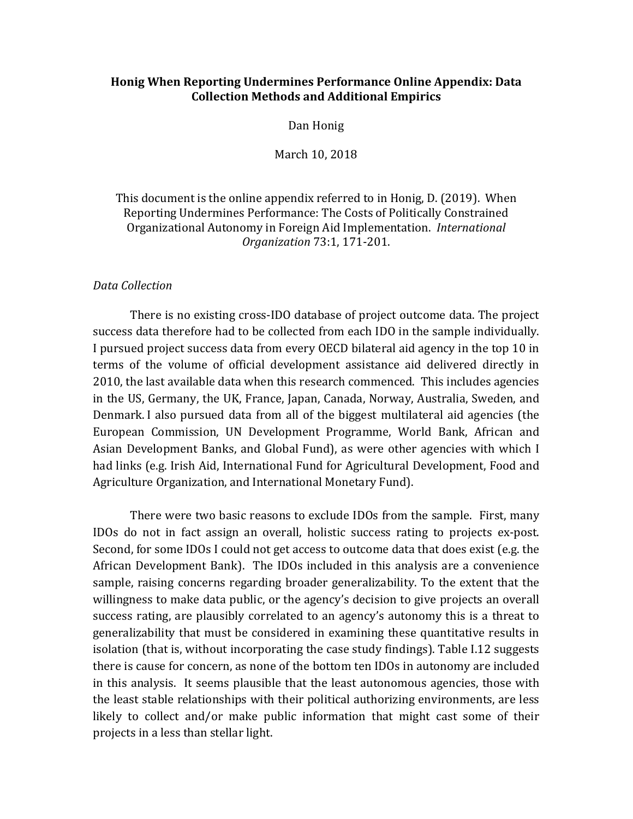### **Honig When Reporting Undermines Performance Online Appendix: Data Collection Methods and Additional Empirics**

#### Dan Honig

#### March 10, 2018

### This document is the online appendix referred to in Honig, D. (2019). When Reporting Undermines Performance: The Costs of Politically Constrained Organizational Autonomy in Foreign Aid Implementation. *International Organization* 73:1, 171-201.

#### *Data Collection*

There is no existing cross-IDO database of project outcome data. The project success data therefore had to be collected from each IDO in the sample individually. I pursued project success data from every OECD bilateral aid agency in the top 10 in terms of the volume of official development assistance aid delivered directly in 2010, the last available data when this research commenced. This includes agencies in the US, Germany, the UK, France, Japan, Canada, Norway, Australia, Sweden, and Denmark. I also pursued data from all of the biggest multilateral aid agencies (the European Commission, UN Development Programme, World Bank, African and Asian Development Banks, and Global Fund), as were other agencies with which I had links (e.g. Irish Aid, International Fund for Agricultural Development, Food and Agriculture Organization, and International Monetary Fund).

There were two basic reasons to exclude IDOs from the sample. First, many IDOs do not in fact assign an overall, holistic success rating to projects ex-post. Second, for some IDOs I could not get access to outcome data that does exist (e.g. the African Development Bank). The IDOs included in this analysis are a convenience sample, raising concerns regarding broader generalizability. To the extent that the willingness to make data public, or the agency's decision to give projects an overall success rating, are plausibly correlated to an agency's autonomy this is a threat to generalizability that must be considered in examining these quantitative results in isolation (that is, without incorporating the case study findings). Table I.12 suggests there is cause for concern, as none of the bottom ten IDOs in autonomy are included in this analysis. It seems plausible that the least autonomous agencies, those with the least stable relationships with their political authorizing environments, are less likely to collect and/or make public information that might cast some of their projects in a less than stellar light.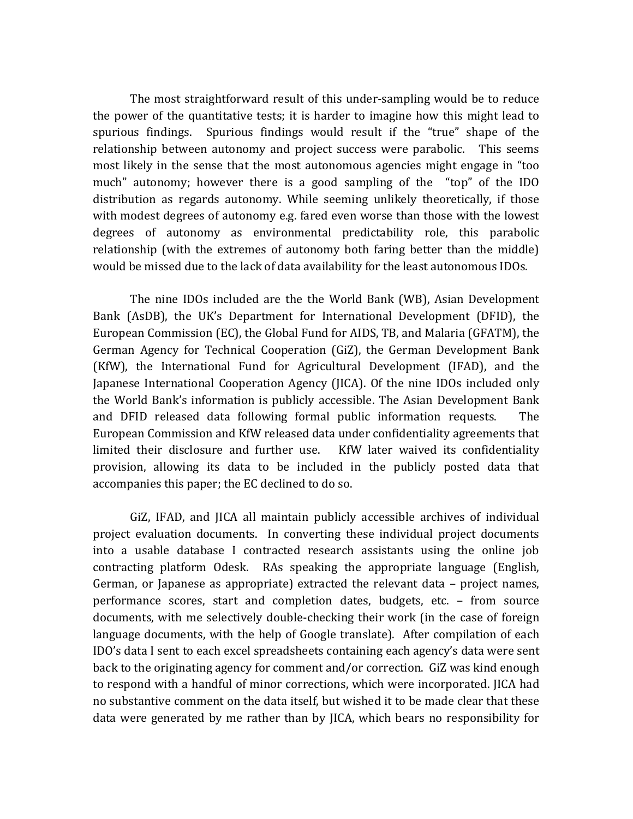The most straightforward result of this under-sampling would be to reduce the power of the quantitative tests; it is harder to imagine how this might lead to spurious findings. Spurious findings would result if the "true" shape of the relationship between autonomy and project success were parabolic. This seems most likely in the sense that the most autonomous agencies might engage in "too much" autonomy; however there is a good sampling of the "top" of the IDO distribution as regards autonomy. While seeming unlikely theoretically, if those with modest degrees of autonomy e.g. fared even worse than those with the lowest degrees of autonomy as environmental predictability role, this parabolic relationship (with the extremes of autonomy both faring better than the middle) would be missed due to the lack of data availability for the least autonomous IDOs.

The nine IDOs included are the the World Bank (WB), Asian Development Bank (AsDB), the UK's Department for International Development (DFID), the European Commission (EC), the Global Fund for AIDS, TB, and Malaria (GFATM), the German Agency for Technical Cooperation (GiZ), the German Development Bank (KfW), the International Fund for Agricultural Development (IFAD), and the Japanese International Cooperation Agency (JICA). Of the nine IDOs included only the World Bank's information is publicly accessible. The Asian Development Bank and DFID released data following formal public information requests. The European Commission and KfW released data under confidentiality agreements that limited their disclosure and further use. KfW later waived its confidentiality provision, allowing its data to be included in the publicly posted data that accompanies this paper; the EC declined to do so.

GiZ, IFAD, and JICA all maintain publicly accessible archives of individual project evaluation documents. In converting these individual project documents into a usable database I contracted research assistants using the online job contracting platform Odesk. RAs speaking the appropriate language (English, German, or Japanese as appropriate) extracted the relevant data  $-$  project names, performance scores, start and completion dates, budgets, etc. – from source documents, with me selectively double-checking their work (in the case of foreign language documents, with the help of Google translate). After compilation of each IDO's data I sent to each excel spreadsheets containing each agency's data were sent back to the originating agency for comment and/or correction.  $GiZ$  was kind enough to respond with a handful of minor corrections, which were incorporated. JICA had no substantive comment on the data itself, but wished it to be made clear that these data were generated by me rather than by IICA, which bears no responsibility for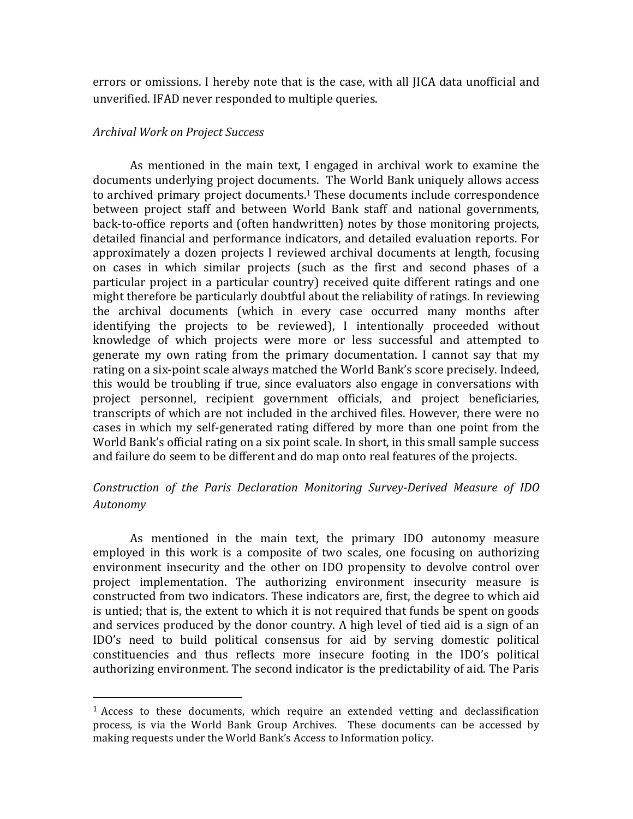errors or omissions. I hereby note that is the case, with all JICA data unofficial and unverified. IFAD never responded to multiple queries.

### *Archival Work on Project Success*

 

As mentioned in the main text, I engaged in archival work to examine the documents underlying project documents. The World Bank uniquely allows access to archived primary project documents.<sup>1</sup> These documents include correspondence between project staff and between World Bank staff and national governments, back-to-office reports and (often handwritten) notes by those monitoring projects, detailed financial and performance indicators, and detailed evaluation reports. For approximately a dozen projects I reviewed archival documents at length, focusing on cases in which similar projects (such as the first and second phases of a particular project in a particular country) received quite different ratings and one might therefore be particularly doubtful about the reliability of ratings. In reviewing the archival documents (which in every case occurred many months after identifying the projects to be reviewed). I intentionally proceeded without knowledge of which projects were more or less successful and attempted to generate my own rating from the primary documentation. I cannot say that my rating on a six-point scale always matched the World Bank's score precisely. Indeed, this would be troubling if true, since evaluators also engage in conversations with project personnel, recipient government officials, and project beneficiaries, transcripts of which are not included in the archived files. However, there were no cases in which my self-generated rating differed by more than one point from the World Bank's official rating on a six point scale. In short, in this small sample success and failure do seem to be different and do map onto real features of the projects.

# *Construction of the Paris Declaration Monitoring Survey-Derived Measure of IDO Autonomy*

As mentioned in the main text, the primary IDO autonomy measure employed in this work is a composite of two scales, one focusing on authorizing environment insecurity and the other on IDO propensity to devolve control over project implementation. The authorizing environment insecurity measure is constructed from two indicators. These indicators are, first, the degree to which aid is untied; that is, the extent to which it is not required that funds be spent on goods and services produced by the donor country. A high level of tied aid is a sign of an IDO's need to build political consensus for aid by serving domestic political constituencies and thus reflects more insecure footing in the IDO's political authorizing environment. The second indicator is the predictability of aid. The Paris

 $1$  Access to these documents, which require an extended vetting and declassification process, is via the World Bank Group Archives. These documents can be accessed by making requests under the World Bank's Access to Information policy.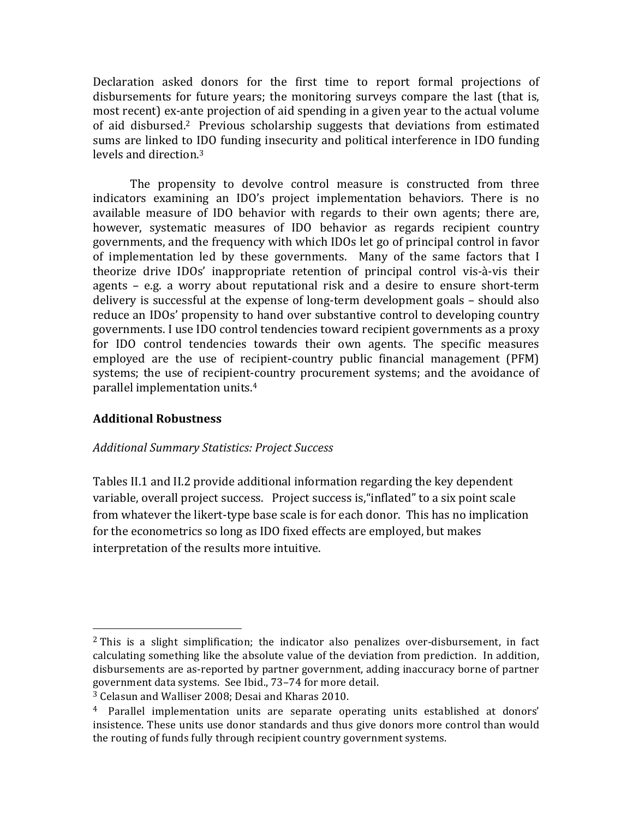Declaration asked donors for the first time to report formal projections of disbursements for future years; the monitoring surveys compare the last (that is, most recent) ex-ante projection of aid spending in a given year to the actual volume of aid disbursed.<sup>2</sup> Previous scholarship suggests that deviations from estimated sums are linked to IDO funding insecurity and political interference in IDO funding levels and direction. $3$ 

The propensity to devolve control measure is constructed from three indicators examining an IDO's project implementation behaviors. There is no available measure of IDO behavior with regards to their own agents; there are, however, systematic measures of IDO behavior as regards recipient country governments, and the frequency with which IDOs let go of principal control in favor of implementation led by these governments. Many of the same factors that I theorize drive IDOs' inappropriate retention of principal control vis-à-vis their agents  $-$  e.g. a worry about reputational risk and a desire to ensure short-term delivery is successful at the expense of long-term development goals - should also reduce an IDOs' propensity to hand over substantive control to developing country governments. I use IDO control tendencies toward recipient governments as a proxy for IDO control tendencies towards their own agents. The specific measures employed are the use of recipient-country public financial management (PFM) systems; the use of recipient-country procurement systems; and the avoidance of parallel implementation units.<sup>4</sup>

# **Additional Robustness**

 

### *Additional Summary Statistics: Project Success*

Tables II.1 and II.2 provide additional information regarding the key dependent variable, overall project success. Project success is, "inflated" to a six point scale from whatever the likert-type base scale is for each donor. This has no implication for the econometrics so long as IDO fixed effects are employed, but makes interpretation of the results more intuitive.

 $2$  This is a slight simplification; the indicator also penalizes over-disbursement, in fact calculating something like the absolute value of the deviation from prediction. In addition, disbursements are as-reported by partner government, adding inaccuracy borne of partner government data systems. See Ibid., 73-74 for more detail.

<sup>&</sup>lt;sup>3</sup> Celasun and Walliser 2008; Desai and Kharas 2010.

<sup>&</sup>lt;sup>4</sup> Parallel implementation units are separate operating units established at donors' insistence. These units use donor standards and thus give donors more control than would the routing of funds fully through recipient country government systems.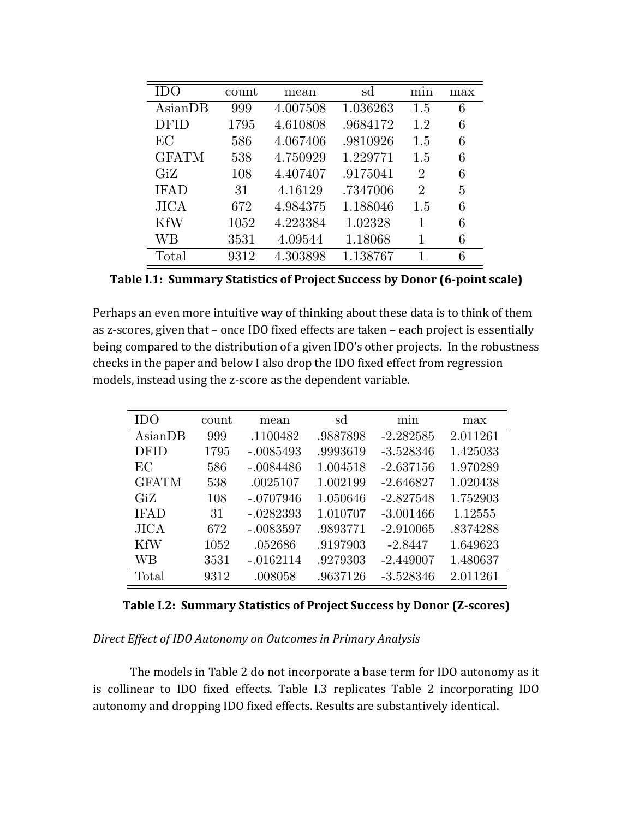| 11)(         | count | mean     | sd       | mın                         | max |
|--------------|-------|----------|----------|-----------------------------|-----|
| AsianDB      | 999   | 4.007508 | 1.036263 | 1.5                         | 6   |
| DFID         | 1795  | 4.610808 | .9684172 | 1.2                         | 6   |
| EC           | 586   | 4.067406 | .9810926 | 1.5                         | 6   |
| <b>GFATM</b> | 538   | 4.750929 | 1.229771 | 1.5                         | 6   |
| GiZ          | 108   | 4.407407 | .9175041 | $\mathcal{D}_{\mathcal{L}}$ | 6   |
| <b>IFAD</b>  | 31    | 4.16129  | .7347006 | $\mathcal{D}_{\mathcal{L}}$ | 5   |
| <b>JICA</b>  | 672   | 4.984375 | 1.188046 | 1.5                         | 6   |
| <b>KfW</b>   | 1052  | 4.223384 | 1.02328  | 1                           | 6   |
| WΒ           | 3531  | 4.09544  | 1.18068  | 1                           | 6   |
| Total        | 9312  | 4.303898 | 1.138767 |                             | 6   |

**Table I.1: Summary Statistics of Project Success by Donor (6-point scale)** 

Perhaps an even more intuitive way of thinking about these data is to think of them as z-scores, given that – once IDO fixed effects are taken – each project is essentially being compared to the distribution of a given IDO's other projects. In the robustness checks in the paper and below I also drop the IDO fixed effect from regression models, instead using the z-score as the dependent variable.

| <b>IDO</b>   | count | mean        | sd       | min         | max      |
|--------------|-------|-------------|----------|-------------|----------|
| AsianDB      | 999   | .1100482    | .9887898 | $-2.282585$ | 2.011261 |
| <b>DFID</b>  | 1795  | $-.0085493$ | .9993619 | $-3.528346$ | 1.425033 |
| EC           | 586   | $-.0084486$ | 1.004518 | $-2.637156$ | 1.970289 |
| <b>GFATM</b> | 538   | .0025107    | 1.002199 | $-2.646827$ | 1.020438 |
| GiZ          | 108   | $-.0707946$ | 1.050646 | $-2.827548$ | 1.752903 |
| <b>IFAD</b>  | 31    | $-.0282393$ | 1.010707 | $-3.001466$ | 1.12555  |
| <b>JICA</b>  | 672   | $-.0083597$ | .9893771 | $-2.910065$ | .8374288 |
| <b>KfW</b>   | 1052  | .052686     | .9197903 | $-2.8447$   | 1.649623 |
| WВ           | 3531  | $-.0162114$ | .9279303 | $-2.449007$ | 1.480637 |
| Total        | 9312  | .008058     | .9637126 | $-3.528346$ | 2.011261 |

**Table I.2: Summary Statistics of Project Success by Donor (Z-scores)** 

Direct *Effect of IDO Autonomy on Outcomes in Primary Analysis* 

The models in Table 2 do not incorporate a base term for IDO autonomy as it is collinear to IDO fixed effects. Table I.3 replicates Table 2 incorporating IDO autonomy and dropping IDO fixed effects. Results are substantively identical.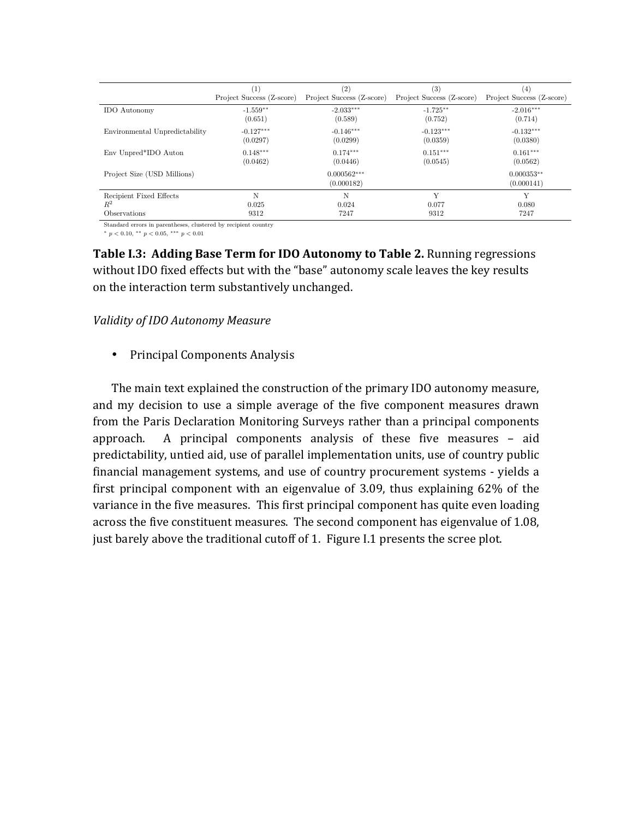|                                | (1)                       | (2)                         | (3)                       | (4)                        |
|--------------------------------|---------------------------|-----------------------------|---------------------------|----------------------------|
|                                | Project Success (Z-score) | Project Success (Z-score)   | Project Success (Z-score) | Project Success (Z-score)  |
| <b>IDO</b> Autonomy            | $-1.559**$                | $-2.033***$                 | $-1.725***$               | $-2.016***$                |
|                                | (0.651)                   | (0.589)                     | (0.752)                   | (0.714)                    |
| Environmental Unpredictability | $-0.127***$               | $-0.146***$                 | $-0.123***$               | $-0.132***$                |
|                                | (0.0297)                  | (0.0299)                    | (0.0359)                  | (0.0380)                   |
| Env Unpred*IDO Auton           | $0.148***$                | $0.174***$                  | $0.151***$                | $0.161***$                 |
|                                | (0.0462)                  | (0.0446)                    | (0.0545)                  | (0.0562)                   |
| Project Size (USD Millions)    |                           | $0.000562***$<br>(0.000182) |                           | $0.000353**$<br>(0.000141) |
| Recipient Fixed Effects        | N                         | N                           | Y                         | Y                          |
| $R^2$                          | 0.025                     | 0.024                       | 0.077                     | 0.080                      |
| <b>Observations</b>            | 9312                      | 7247                        | 9312                      | 7247                       |

Standard errors in parentheses, clustered by recipient country

 $*$   $p$   $<$  0.10,  $^{**}$   $p$   $<$  0.05,  $^{***}$   $p$   $<$  0.01  $\,$ 

**Table I.3: Adding Base Term for IDO Autonomy to Table 2.** Running regressions without IDO fixed effects but with the "base" autonomy scale leaves the key results on the interaction term substantively unchanged.

### *Validity of IDO Autonomy Measure*

• Principal Components Analysis

The main text explained the construction of the primary IDO autonomy measure, and my decision to use a simple average of the five component measures drawn from the Paris Declaration Monitoring Surveys rather than a principal components approach. A principal components analysis of these five measures  $-$  aid predictability, untied aid, use of parallel implementation units, use of country public financial management systems, and use of country procurement systems - yields a first principal component with an eigenvalue of 3.09, thus explaining  $62\%$  of the variance in the five measures. This first principal component has quite even loading across the five constituent measures. The second component has eigenvalue of 1.08, just barely above the traditional cutoff of 1. Figure I.1 presents the scree plot.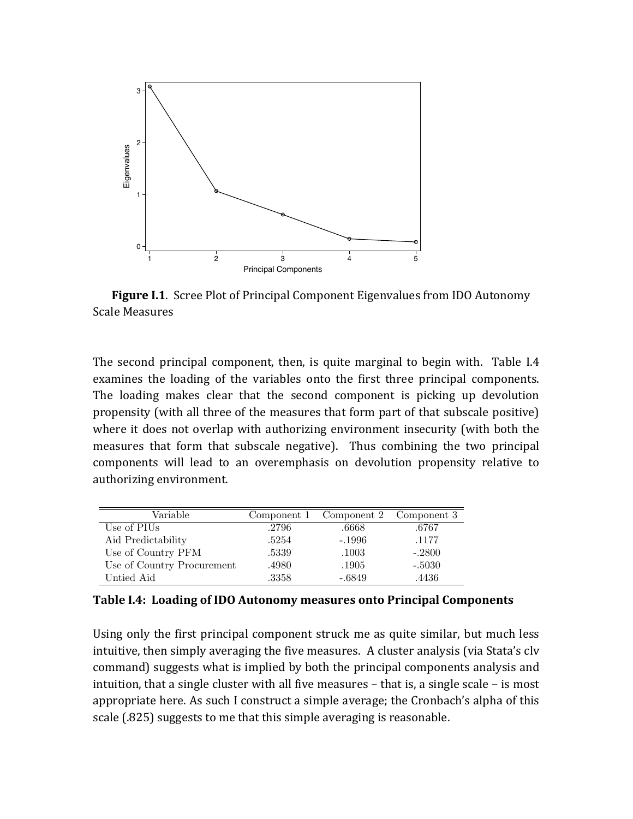

**Figure I.1.** Scree Plot of Principal Component Eigenvalues from IDO Autonomy Scale Measures

The second principal component, then, is quite marginal to begin with. Table I.4 examines the loading of the variables onto the first three principal components. The loading makes clear that the second component is picking up devolution propensity (with all three of the measures that form part of that subscale positive) where it does not overlap with authorizing environment insecurity (with both the measures that form that subscale negative). Thus combining the two principal components will lead to an overemphasis on devolution propensity relative to authorizing environment.

| Variable                   |       | Component 1 Component 2 Component 3 |          |
|----------------------------|-------|-------------------------------------|----------|
| Use of PIUs                | .2796 | .6668                               | .6767    |
| Aid Predictability         | .5254 | $-.1996$                            | .1177    |
| Use of Country PFM         | .5339 | .1003                               | $-.2800$ |
| Use of Country Procurement | .4980 | .1905                               | $-.5030$ |
| Untied Aid                 | .3358 | $-.6849$                            | .4436    |

**Table I.4: Loading of IDO Autonomy measures onto Principal Components** 

Using only the first principal component struck me as quite similar, but much less intuitive, then simply averaging the five measures. A cluster analysis (via Stata's clv command) suggests what is implied by both the principal components analysis and  $intuition, that a single cluster with all five measures – that is, a single scale – is most$ appropriate here. As such I construct a simple average; the Cronbach's alpha of this scale (.825) suggests to me that this simple averaging is reasonable.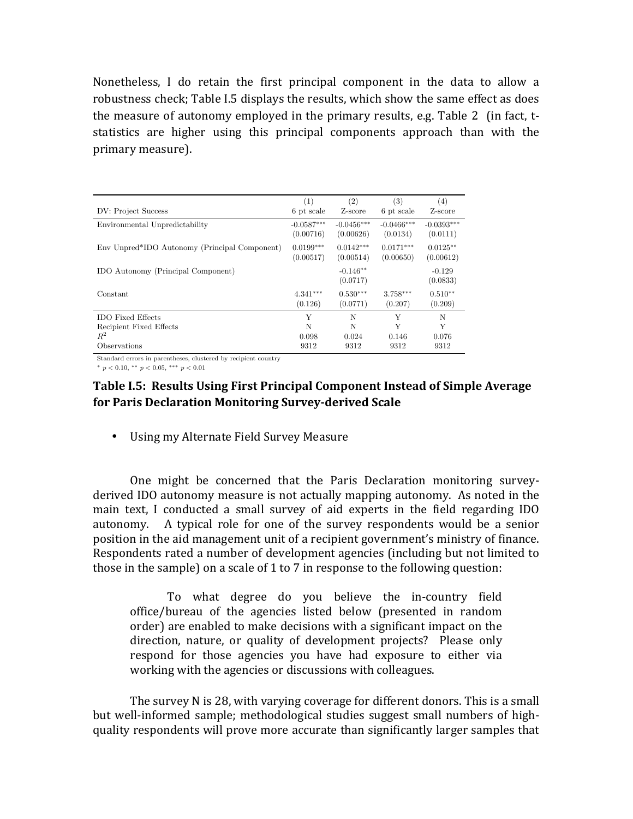Nonetheless, I do retain the first principal component in the data to allow a robustness check; Table I.5 displays the results, which show the same effect as does the measure of autonomy employed in the primary results, e.g. Table 2 (in fact, tstatistics are higher using this principal components approach than with the primary measure). 

| DV: Project Success                           | (1)          | (2)                    | (3)          | $\left( 4\right)$    |
|-----------------------------------------------|--------------|------------------------|--------------|----------------------|
|                                               | 6 pt scale   | Z-score                | 6 pt scale   | Z-score              |
| Environmental Unpredictability                | $-0.0587***$ | $-0.0456***$           | $-0.0466***$ | $-0.0393***$         |
|                                               | (0.00716)    | (0.00626)              | (0.0134)     | (0.0111)             |
| Env Unpred*IDO Autonomy (Principal Component) | $0.0199***$  | $0.0142***$            | $0.0171***$  | $0.0125**$           |
|                                               | (0.00517)    | (0.00514)              | (0.00650)    | (0.00612)            |
| IDO Autonomy (Principal Component)            |              | $-0.146**$<br>(0.0717) |              | $-0.129$<br>(0.0833) |
| Constant                                      | $4.341***$   | $0.530***$             | $3.758***$   | $0.510**$            |
|                                               | (0.126)      | (0.0771)               | (0.207)      | (0.209)              |
| <b>IDO</b> Fixed Effects                      | Y            | N                      | Y            | N                    |
| Recipient Fixed Effects                       | N            | N                      | Y            | Y                    |
| $R^2$                                         | 0.098        | 0.024                  | 0.146        | 0.076                |
| Observations                                  | 9312         | 9312                   | 9312         | 9312                 |

Standard errors in parentheses, clustered by recipient country

 $*$   $p$  < 0.10,  $**$   $p$  < 0.05,  $***$   $p$  < 0.01

### **Table I.5: Results Using First Principal Component Instead of Simple Average** for Paris Declaration Monitoring Survey-derived Scale

• Using my Alternate Field Survey Measure

One might be concerned that the Paris Declaration monitoring surveyderived IDO autonomy measure is not actually mapping autonomy. As noted in the main text, I conducted a small survey of aid experts in the field regarding IDO autonomy. A typical role for one of the survey respondents would be a senior position in the aid management unit of a recipient government's ministry of finance. Respondents rated a number of development agencies (including but not limited to those in the sample) on a scale of  $1$  to  $7$  in response to the following question:

To what degree do you believe the in-country field office/bureau of the agencies listed below (presented in random order) are enabled to make decisions with a significant impact on the direction, nature, or quality of development projects? Please only respond for those agencies you have had exposure to either via working with the agencies or discussions with colleagues.

The survey  $N$  is 28, with varying coverage for different donors. This is a small but well-informed sample; methodological studies suggest small numbers of highquality respondents will prove more accurate than significantly larger samples that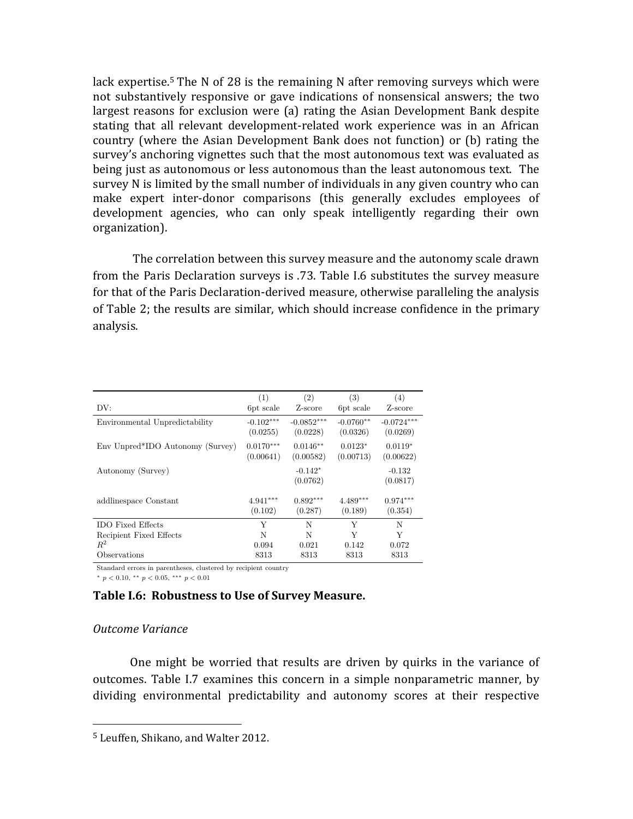lack expertise.<sup>5</sup> The N of 28 is the remaining N after removing surveys which were not substantively responsive or gave indications of nonsensical answers; the two largest reasons for exclusion were (a) rating the Asian Development Bank despite stating that all relevant development-related work experience was in an African country (where the Asian Development Bank does not function) or (b) rating the survey's anchoring vignettes such that the most autonomous text was evaluated as being just as autonomous or less autonomous than the least autonomous text. The survey N is limited by the small number of individuals in any given country who can make expert inter-donor comparisons (this generally excludes employees of development agencies, who can only speak intelligently regarding their own organization).

The correlation between this survey measure and the autonomy scale drawn from the Paris Declaration surveys is .73. Table I.6 substitutes the survey measure for that of the Paris Declaration-derived measure, otherwise paralleling the analysis of Table 2; the results are similar, which should increase confidence in the primary analysis.

|                                  | (1)                      | (2)                      | (3)                     | (4)                      |
|----------------------------------|--------------------------|--------------------------|-------------------------|--------------------------|
| DV:                              | 6pt scale                | Z-score                  | 6pt scale               | Z-score                  |
| Environmental Unpredictability   | $-0.102***$<br>(0.0255)  | $-0.0852***$<br>(0.0228) | $-0.0760**$<br>(0.0326) | $-0.0724***$<br>(0.0269) |
| Env Unpred*IDO Autonomy (Survey) | $0.0170***$<br>(0.00641) | $0.0146**$<br>(0.00582)  | $0.0123*$<br>(0.00713)  | $0.0119*$<br>(0.00622)   |
| Autonomy (Survey)                |                          | $-0.142*$<br>(0.0762)    |                         | $-0.132$<br>(0.0817)     |
| addlinespace Constant            | $4.941***$<br>(0.102)    | $0.892***$<br>(0.287)    | $4.489***$<br>(0.189)   | $0.974***$<br>(0.354)    |
| <b>IDO</b> Fixed Effects         | Y                        | N                        | Y                       | N                        |
| Recipient Fixed Effects          | N                        | N                        | Y                       | Y                        |
| $R^2$                            | 0.094                    | 0.021                    | 0.142                   | 0.072                    |
| Observations                     | 8313                     | 8313                     | 8313                    | 8313                     |

Standard errors in parentheses, clustered by recipient country

 $*$   $p < 0.10, **$   $p < 0.05,***$   $p < 0.01$ 

### **Table I.6: Robustness to Use of Survey Measure.**

### *Outcome Variance*

One might be worried that results are driven by quirks in the variance of outcomes. Table I.7 examines this concern in a simple nonparametric manner, by dividing environmental predictability and autonomy scores at their respective

<sup>&</sup>lt;sup>5</sup> Leuffen, Shikano, and Walter 2012.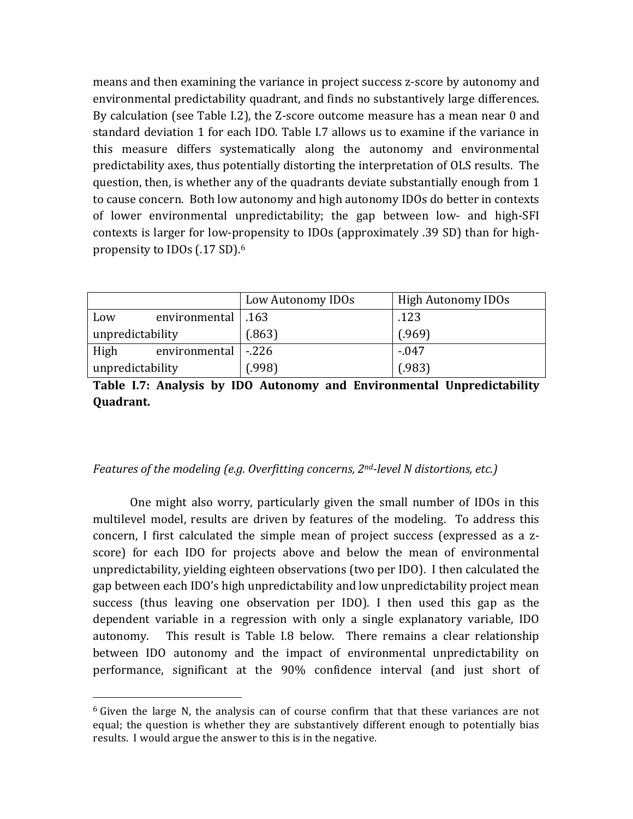means and then examining the variance in project success z-score by autonomy and environmental predictability quadrant, and finds no substantively large differences. By calculation (see Table I.2), the Z-score outcome measure has a mean near 0 and standard deviation 1 for each IDO. Table I.7 allows us to examine if the variance in this measure differs systematically along the autonomy and environmental predictability axes, thus potentially distorting the interpretation of OLS results. The question, then, is whether any of the quadrants deviate substantially enough from 1 to cause concern. Both low autonomy and high autonomy IDOs do better in contexts of lower environmental unpredictability; the gap between low- and high-SFI contexts is larger for low-propensity to IDOs (approximately .39 SD) than for highpropensity to IDOs  $(.17 S<sub>D</sub>)$ .<sup>6</sup>

|                  |                      | Low Autonomy IDOs | <b>High Autonomy IDOs</b> |
|------------------|----------------------|-------------------|---------------------------|
| Low              | environmental   .163 |                   | .123                      |
| unpredictability |                      | (.863)            | (.969)                    |
| High             | environmental        | $-226$            | $-0.047$                  |
| unpredictability |                      | (.998)            | (.983)                    |

Table I.7: Analysis by IDO Autonomy and Environmental Unpredictability **Quadrant.**

### *Features of the modeling (e.g. Overfitting concerns, 2<sup>nd</sup>-level N distortions, etc.)*

One might also worry, particularly given the small number of IDOs in this multilevel model, results are driven by features of the modeling. To address this concern, I first calculated the simple mean of project success (expressed as a zscore) for each IDO for projects above and below the mean of environmental unpredictability, yielding eighteen observations (two per IDO). I then calculated the gap between each IDO's high unpredictability and low unpredictability project mean success (thus leaving one observation per IDO). I then used this gap as the dependent variable in a regression with only a single explanatory variable, IDO autonomy. This result is Table I.8 below. There remains a clear relationship between IDO autonomy and the impact of environmental unpredictability on performance, significant at the 90% confidence interval (and just short of

 $6$  Given the large N, the analysis can of course confirm that that these variances are not equal; the question is whether they are substantively different enough to potentially bias results. I would argue the answer to this is in the negative.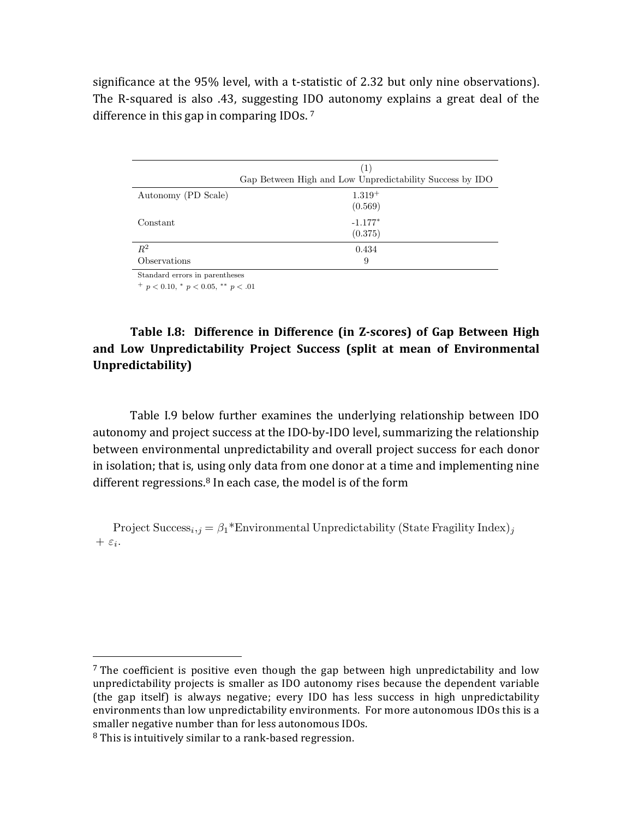significance at the 95% level, with a t-statistic of 2.32 but only nine observations). The R-squared is also .43, suggesting IDO autonomy explains a great deal of the difference in this gap in comparing IDOs.  $7$ 

|                     | (1)                                                      |
|---------------------|----------------------------------------------------------|
|                     | Gap Between High and Low Unpredictability Success by IDO |
| Autonomy (PD Scale) | $1.319+$                                                 |
|                     | (0.569)                                                  |
| Constant            | $-1.177*$                                                |
|                     | (0.375)                                                  |
| $R^2$               | 0.434                                                    |
| Observations        | 9                                                        |

Standard errors in parentheses

 $^{+}$   $p < 0.10, *$   $p < 0.05, **$   $p < .01$ 

# Table I.8: Difference in Difference (in Z-scores) of Gap Between High and Low Unpredictability Project Success (split at mean of Environmental **Unpredictability)**

Table I.9 below further examines the underlying relationship between IDO autonomy and project success at the IDO-by-IDO level, summarizing the relationship between environmental unpredictability and overall project success for each donor in isolation; that is, using only data from one donor at a time and implementing nine different regressions. $8$  In each case, the model is of the form

Project Success<sub>*i*</sub>,*j* =  $\beta_1$ <sup>\*</sup>Environmental Unpredictability (State Fragility Index)*j*  $+ \varepsilon_i$ .

<sup>&</sup>lt;sup>7</sup> The coefficient is positive even though the gap between high unpredictability and low unpredictability projects is smaller as IDO autonomy rises because the dependent variable (the gap itself) is always negative; every IDO has less success in high unpredictability environments than low unpredictability environments. For more autonomous IDOs this is a smaller negative number than for less autonomous IDOs.

 $8$  This is intuitively similar to a rank-based regression.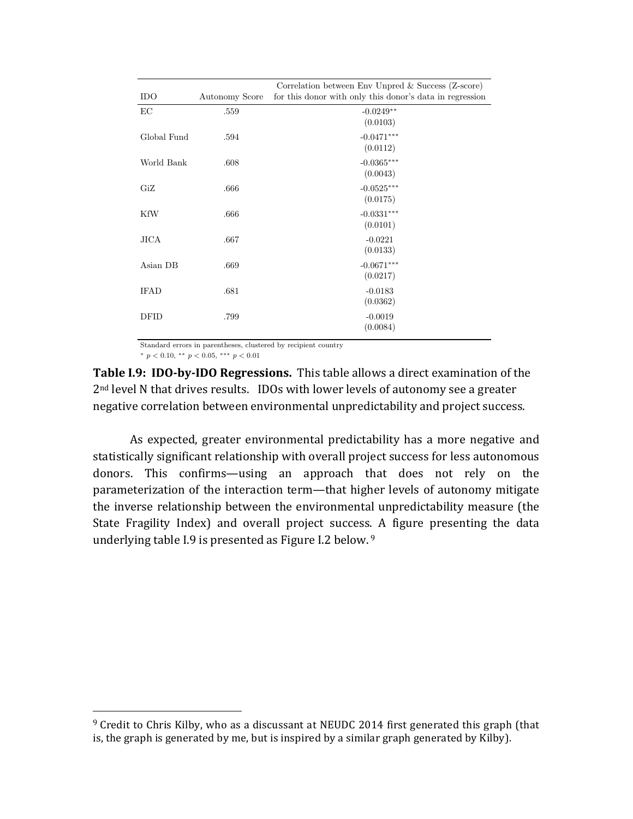|             |                | Correlation between Env Unpred & Success (Z-score)             |
|-------------|----------------|----------------------------------------------------------------|
| <b>IDO</b>  | Autonomy Score | for this donor with only this donor's data in regression       |
| EC          | .559           | $-0.0249**$                                                    |
|             |                | (0.0103)                                                       |
| Global Fund | .594           | $-0.0471***$                                                   |
|             |                | (0.0112)                                                       |
| World Bank  | .608           | $-0.0365***$                                                   |
|             |                | (0.0043)                                                       |
| GiZ         | .666           | $-0.0525***$                                                   |
|             |                | (0.0175)                                                       |
| <b>KfW</b>  | .666           | $-0.0331***$                                                   |
|             |                | (0.0101)                                                       |
| <b>JICA</b> | .667           | $-0.0221$                                                      |
|             |                | (0.0133)                                                       |
| Asian DB    | .669           | $-0.0671***$                                                   |
|             |                | (0.0217)                                                       |
| <b>IFAD</b> | .681           | $-0.0183$                                                      |
|             |                | (0.0362)                                                       |
| DFID        | .799           | $-0.0019$                                                      |
|             |                | (0.0084)                                                       |
|             |                | Standard errors in parentheses, clustered by recipient country |

 $p < 0.10, \cdot^* p < 0.05, \cdot^{***} p < 0.01$ 

 

**Table I.9: IDO-by-IDO Regressions.** This table allows a direct examination of the  $2<sup>nd</sup>$  level N that drives results. IDOs with lower levels of autonomy see a greater negative correlation between environmental unpredictability and project success.

As expected, greater environmental predictability has a more negative and statistically significant relationship with overall project success for less autonomous donors. This confirms—using an approach that does not rely on the parameterization of the interaction term—that higher levels of autonomy mitigate the inverse relationship between the environmental unpredictability measure (the State Fragility Index) and overall project success. A figure presenting the data underlying table I.9 is presented as Figure I.2 below.  $9<sup>9</sup>$ 

 $9$  Credit to Chris Kilby, who as a discussant at NEUDC 2014 first generated this graph (that is, the graph is generated by me, but is inspired by a similar graph generated by Kilby).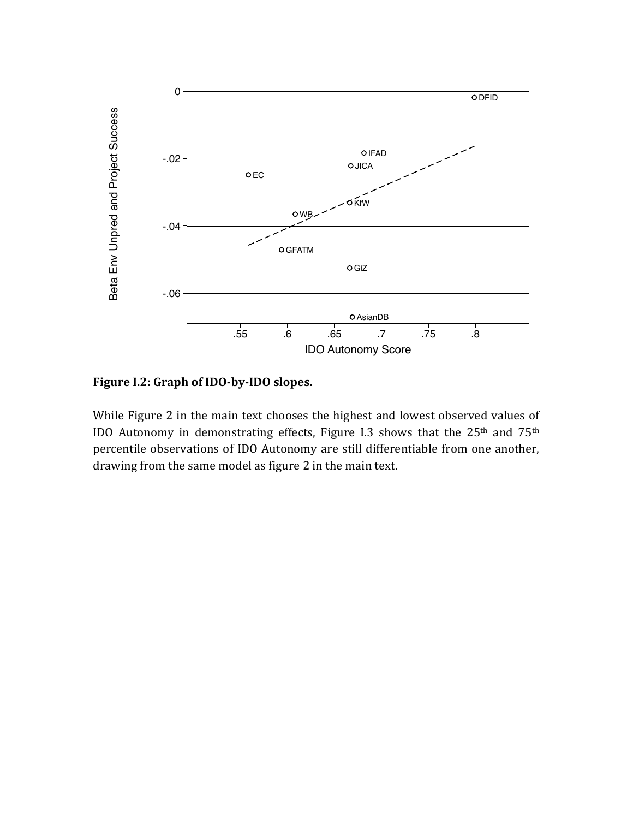

# Figure I.2: Graph of IDO-by-IDO slopes.

While Figure 2 in the main text chooses the highest and lowest observed values of IDO Autonomy in demonstrating effects, Figure I.3 shows that the  $25<sup>th</sup>$  and  $75<sup>th</sup>$ percentile observations of IDO Autonomy are still differentiable from one another, drawing from the same model as figure 2 in the main text.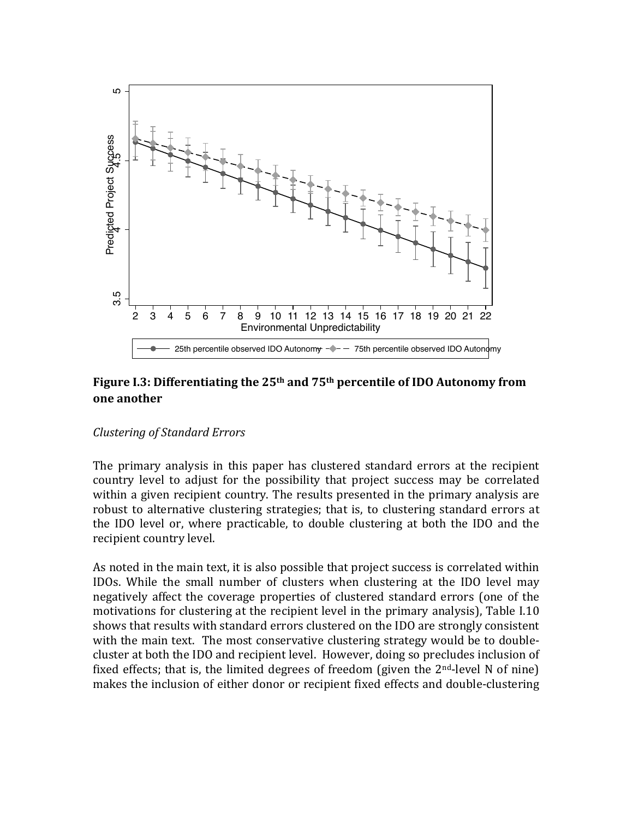

# Figure I.3: Differentiating the 25<sup>th</sup> and 75<sup>th</sup> percentile of IDO Autonomy from **one another**

### *Clustering of Standard Errors*

The primary analysis in this paper has clustered standard errors at the recipient country level to adjust for the possibility that project success may be correlated within a given recipient country. The results presented in the primary analysis are robust to alternative clustering strategies; that is, to clustering standard errors at the IDO level or, where practicable, to double clustering at both the IDO and the recipient country level.

As noted in the main text, it is also possible that project success is correlated within IDOs. While the small number of clusters when clustering at the IDO level may negatively affect the coverage properties of clustered standard errors (one of the motivations for clustering at the recipient level in the primary analysis), Table I.10 shows that results with standard errors clustered on the IDO are strongly consistent with the main text. The most conservative clustering strategy would be to doublecluster at both the IDO and recipient level. However, doing so precludes inclusion of fixed effects; that is, the limited degrees of freedom (given the  $2<sup>nd</sup>$ -level N of nine)  $\frac{8}{2}$ <br>  $\frac{1}{2}$ <br>  $\frac{1}{3}$  4 5 6 7 8 9 10 11 12 13 14 15 16 17 18 19 20 21 22<br>
Environmental Unpredictability<br> **Figure 1.3: Differentiating the 25<sup>th</sup> and 75<sup>th</sup> percentile of IDO Autonomy from<br>
<b>Figure 1.3: Differen**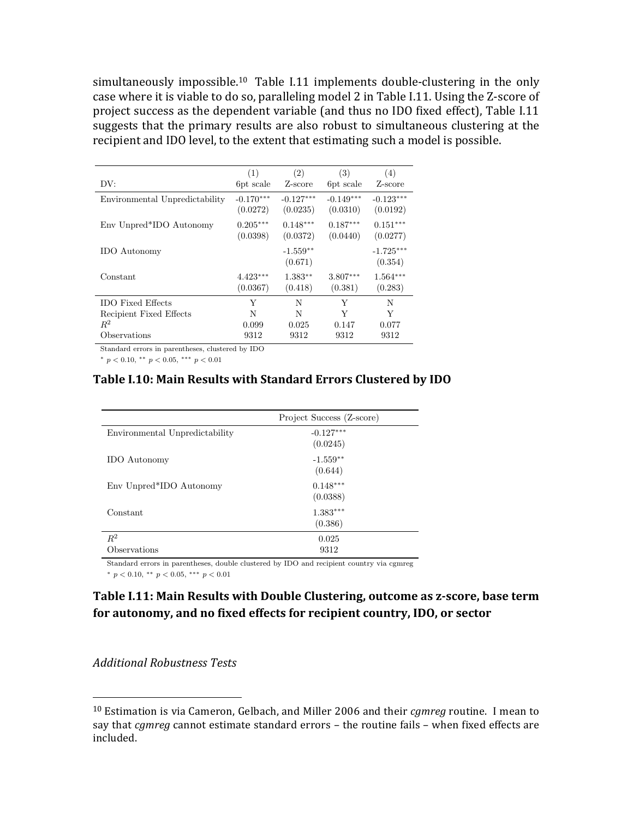simultaneously impossible.<sup>10</sup> Table I.11 implements double-clustering in the only case where it is viable to do so, paralleling model 2 in Table I.11. Using the Z-score of project success as the dependent variable (and thus no IDO fixed effect), Table I.11 suggests that the primary results are also robust to simultaneous clustering at the recipient and IDO level, to the extent that estimating such a model is possible.

| DV:                            | (1)<br>6pt scale        | (2)<br>Z-score          | (3)<br>6pt scale        | (4)<br>Z-score          |
|--------------------------------|-------------------------|-------------------------|-------------------------|-------------------------|
| Environmental Unpredictability | $-0.170***$<br>(0.0272) | $-0.127***$<br>(0.0235) | $-0.149***$<br>(0.0310) | $-0.123***$<br>(0.0192) |
| Env Unpred*IDO Autonomy        | $0.205***$<br>(0.0398)  | $0.148***$<br>(0.0372)  | $0.187***$<br>(0.0440)  | $0.151***$<br>(0.0277)  |
| <b>IDO</b> Autonomy            |                         | $-1.559**$<br>(0.671)   |                         | $-1.725***$<br>(0.354)  |
| Constant                       | $4.423***$<br>(0.0367)  | $1.383**$<br>(0.418)    | $3.807***$<br>(0.381)   | $1.564***$<br>(0.283)   |
| <b>IDO</b> Fixed Effects       | Y                       | N                       | Y                       | N                       |
| Recipient Fixed Effects        | N                       | N                       | Y                       | Y                       |
| $R^2$                          | 0.099                   | 0.025                   | 0.147                   | 0.077                   |
| Observations                   | 9312                    | 9312                    | 9312                    | 9312                    |

Standard errors in parentheses, clustered by IDO

 $*$   $p < 0.10, **$   $p < 0.05,***$   $p < 0.01$ 

### **Table I.10: Main Results with Standard Errors Clustered by IDO**

|                                | Project Success (Z-score) |
|--------------------------------|---------------------------|
| Environmental Unpredictability | $-0.127***$<br>(0.0245)   |
| <b>IDO</b> Autonomy            | $-1.559**$<br>(0.644)     |
| Env Unpred*IDO Autonomy        | $0.148***$<br>(0.0388)    |
| Constant                       | $1.383***$<br>(0.386)     |
| $R^2$                          | 0.025                     |
| Observations                   | 9312                      |

Standard errors in parentheses, double clustered by IDO and recipient country via cgmreg

 $*$   $p < 0.10, **$   $p < 0.05,***$   $p < 0.01$ 

# **Table I.11: Main Results with Double Clustering, outcome as z-score, base term** for autonomy, and no fixed effects for recipient country, IDO, or sector

#### *Additional Robustness Tests*

<sup>&</sup>lt;sup>10</sup> Estimation is via Cameron, Gelbach, and Miller 2006 and their *cgmreg* routine. I mean to say that *cgmreg* cannot estimate standard errors - the routine fails - when fixed effects are included.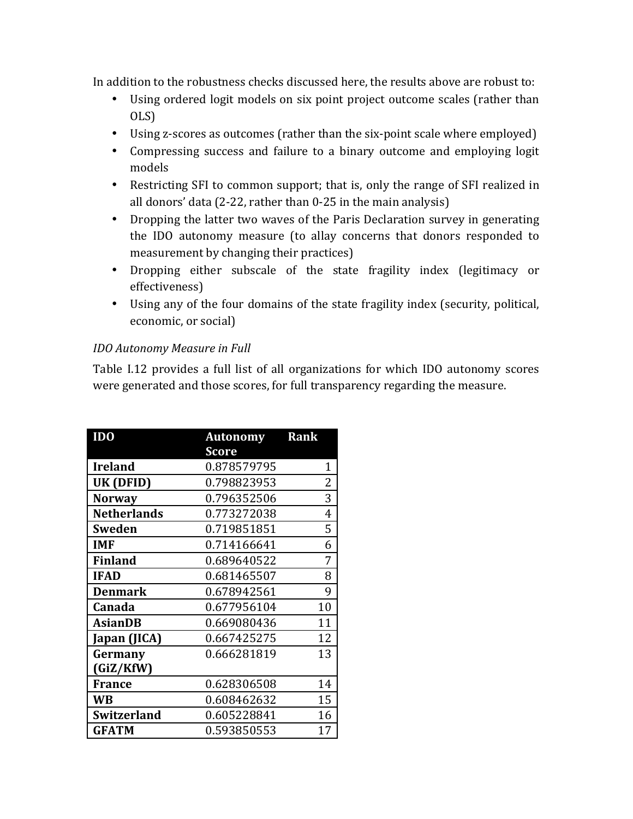In addition to the robustness checks discussed here, the results above are robust to:

- Using ordered logit models on six point project outcome scales (rather than OLS)
- Using z-scores as outcomes (rather than the six-point scale where employed)
- Compressing success and failure to a binary outcome and employing logit models
- Restricting SFI to common support; that is, only the range of SFI realized in all donors' data  $(2-22, \text{ rather than } 0-25 \text{ in the main analysis})$
- Dropping the latter two waves of the Paris Declaration survey in generating the IDO autonomy measure (to allay concerns that donors responded to measurement by changing their practices)
- Dropping either subscale of the state fragility index (legitimacy or effectiveness)
- Using any of the four domains of the state fragility index (security, political, economic, or social)

# *IDO* Autonomy Measure in Full

Table I.12 provides a full list of all organizations for which IDO autonomy scores were generated and those scores, for full transparency regarding the measure.

| ID <sub>0</sub>    | <b>Autonomy</b> | Rank |
|--------------------|-----------------|------|
|                    | Score           |      |
| <b>Ireland</b>     | 0.878579795     | 1    |
| UK (DFID)          | 0.798823953     | 2    |
| <b>Norway</b>      | 0.796352506     | 3    |
| <b>Netherlands</b> | 0.773272038     | 4    |
| <b>Sweden</b>      | 0.719851851     | 5    |
| <b>IMF</b>         | 0.714166641     | 6    |
| <b>Finland</b>     | 0.689640522     | 7    |
| <b>IFAD</b>        | 0.681465507     | 8    |
| <b>Denmark</b>     | 0.678942561     | 9    |
| Canada             | 0.677956104     | 10   |
| <b>AsianDB</b>     | 0.669080436     | 11   |
| Japan (JICA)       | 0.667425275     | 12   |
| Germany            | 0.666281819     | 13   |
| (GiZ/KfW)          |                 |      |
| <b>France</b>      | 0.628306508     | 14   |
| WB                 | 0.608462632     | 15   |
| <b>Switzerland</b> | 0.605228841     | 16   |
| <b>GFATM</b>       | 0.593850553     | 17   |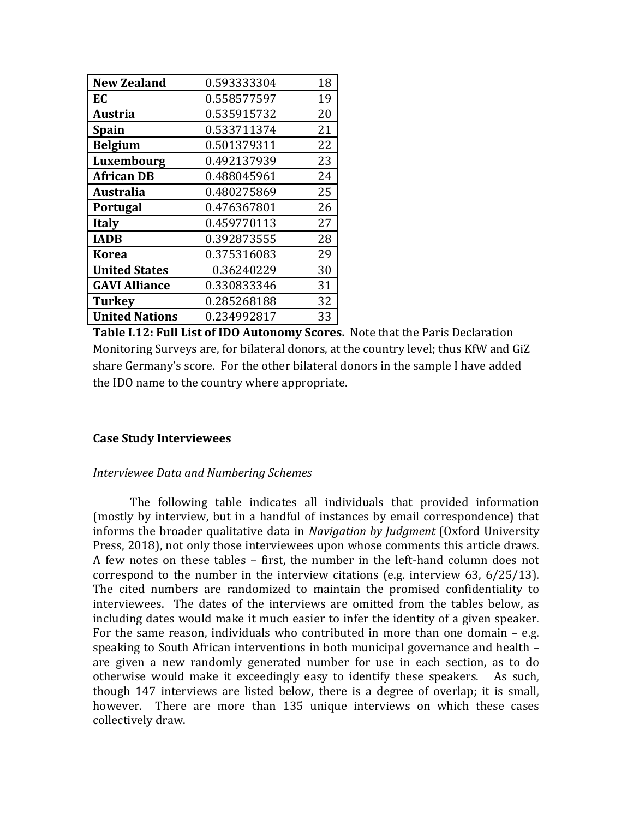| <b>New Zealand</b>    | 0.593333304 | 18 |
|-----------------------|-------------|----|
| EC                    | 0.558577597 | 19 |
| <b>Austria</b>        | 0.535915732 | 20 |
| <b>Spain</b>          | 0.533711374 | 21 |
| <b>Belgium</b>        | 0.501379311 | 22 |
| Luxembourg            | 0.492137939 | 23 |
| <b>African DB</b>     | 0.488045961 | 24 |
| Australia             | 0.480275869 | 25 |
| <b>Portugal</b>       | 0.476367801 | 26 |
| <b>Italy</b>          | 0.459770113 | 27 |
| <b>IADB</b>           | 0.392873555 | 28 |
| <b>Korea</b>          | 0.375316083 | 29 |
| <b>United States</b>  | 0.36240229  | 30 |
| <b>GAVI Alliance</b>  | 0.330833346 | 31 |
| <b>Turkey</b>         | 0.285268188 | 32 |
| <b>United Nations</b> | 0.234992817 | 33 |

**Table I.12: Full List of IDO Autonomy Scores.** Note that the Paris Declaration Monitoring Surveys are, for bilateral donors, at the country level; thus KfW and GiZ share Germany's score. For the other bilateral donors in the sample I have added the IDO name to the country where appropriate.

### **Case Study Interviewees**

### *Interviewee Data and Numbering Schemes*

The following table indicates all individuals that provided information (mostly by interview, but in a handful of instances by email correspondence) that informs the broader qualitative data in *Navigation by Judgment* (Oxford University Press, 2018), not only those interviewees upon whose comments this article draws. A few notes on these tables - first, the number in the left-hand column does not correspond to the number in the interview citations (e.g. interview 63,  $6/25/13$ ). The cited numbers are randomized to maintain the promised confidentiality to interviewees. The dates of the interviews are omitted from the tables below, as including dates would make it much easier to infer the identity of a given speaker. For the same reason, individuals who contributed in more than one domain  $-$  e.g. speaking to South African interventions in both municipal governance and health  $$ are given a new randomly generated number for use in each section, as to do otherwise would make it exceedingly easy to identify these speakers. As such, though 147 interviews are listed below, there is a degree of overlap; it is small, however. There are more than 135 unique interviews on which these cases collectively draw.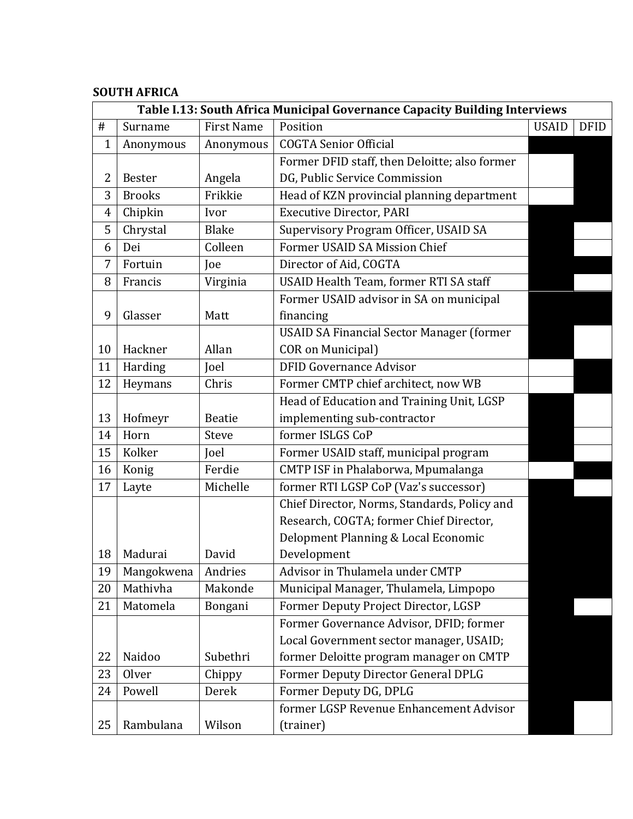# **SOUTH AFRICA**

|                |               |                   | Table I.13: South Africa Municipal Governance Capacity Building Interviews |              |             |
|----------------|---------------|-------------------|----------------------------------------------------------------------------|--------------|-------------|
| $\#$           | Surname       | <b>First Name</b> | Position                                                                   | <b>USAID</b> | <b>DFID</b> |
| $\mathbf{1}$   | Anonymous     | Anonymous         | <b>COGTA Senior Official</b>                                               |              |             |
|                |               |                   | Former DFID staff, then Deloitte; also former                              |              |             |
| 2              | <b>Bester</b> | Angela            | DG, Public Service Commission                                              |              |             |
| 3              | <b>Brooks</b> | Frikkie           | Head of KZN provincial planning department                                 |              |             |
| $\overline{4}$ | Chipkin       | Ivor              | <b>Executive Director, PARI</b>                                            |              |             |
| 5              | Chrystal      | <b>Blake</b>      | Supervisory Program Officer, USAID SA                                      |              |             |
| 6              | Dei           | Colleen           | Former USAID SA Mission Chief                                              |              |             |
| 7              | Fortuin       | Joe               | Director of Aid, COGTA                                                     |              |             |
| 8              | Francis       | Virginia          | USAID Health Team, former RTI SA staff                                     |              |             |
|                |               |                   | Former USAID advisor in SA on municipal                                    |              |             |
| 9              | Glasser       | Matt              | financing                                                                  |              |             |
|                |               |                   | <b>USAID SA Financial Sector Manager (former</b>                           |              |             |
| 10             | Hackner       | Allan             | <b>COR on Municipal</b> )                                                  |              |             |
| 11             | Harding       | Joel              | <b>DFID Governance Advisor</b>                                             |              |             |
| 12             | Heymans       | Chris             | Former CMTP chief architect, now WB                                        |              |             |
|                |               |                   | Head of Education and Training Unit, LGSP                                  |              |             |
| 13             | Hofmeyr       | <b>Beatie</b>     | implementing sub-contractor                                                |              |             |
| 14             | Horn          | Steve             | former ISLGS CoP                                                           |              |             |
| 15             | Kolker        | Joel              | Former USAID staff, municipal program                                      |              |             |
| 16             | Konig         | Ferdie            | CMTP ISF in Phalaborwa, Mpumalanga                                         |              |             |
| 17             | Layte         | Michelle          | former RTI LGSP CoP (Vaz's successor)                                      |              |             |
|                |               |                   | Chief Director, Norms, Standards, Policy and                               |              |             |
|                |               |                   | Research, COGTA; former Chief Director,                                    |              |             |
|                |               |                   | Delopment Planning & Local Economic                                        |              |             |
| 18             | Madurai       | David             | Development                                                                |              |             |
| 19             | Mangokwena    | Andries           | Advisor in Thulamela under CMTP                                            |              |             |
| 20             | Mathivha      | Makonde           | Municipal Manager, Thulamela, Limpopo                                      |              |             |
| 21             | Matomela      | Bongani           | Former Deputy Project Director, LGSP                                       |              |             |
|                |               |                   | Former Governance Advisor, DFID; former                                    |              |             |
|                |               |                   | Local Government sector manager, USAID;                                    |              |             |
| 22             | Naidoo        | Subethri          | former Deloitte program manager on CMTP                                    |              |             |
| 23             | Olver         | Chippy            | Former Deputy Director General DPLG                                        |              |             |
| 24             | Powell        | Derek             | Former Deputy DG, DPLG                                                     |              |             |
|                |               |                   | former LGSP Revenue Enhancement Advisor                                    |              |             |
| 25             | Rambulana     | Wilson            | (trainer)                                                                  |              |             |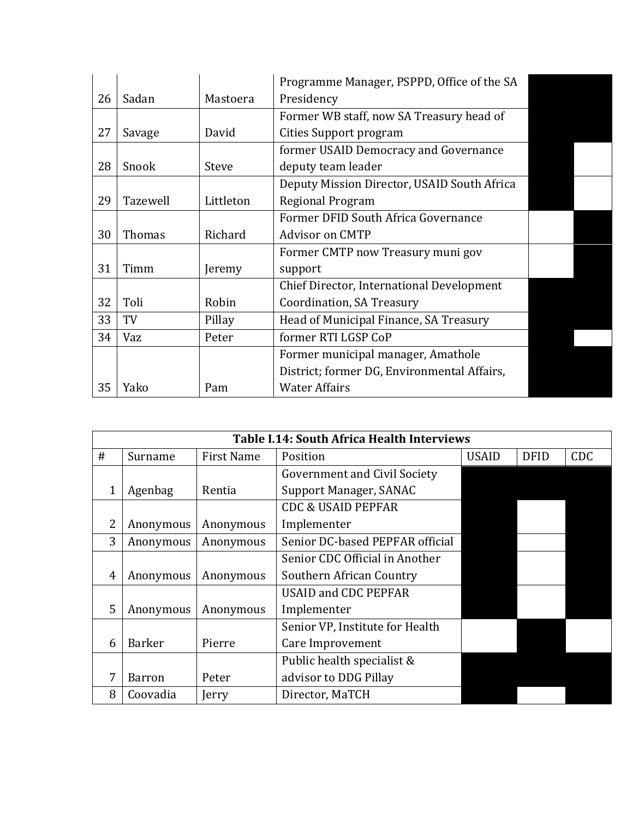|    |               |              | Programme Manager, PSPPD, Office of the SA  |  |
|----|---------------|--------------|---------------------------------------------|--|
| 26 | Sadan         | Mastoera     | Presidency                                  |  |
|    |               |              | Former WB staff, now SA Treasury head of    |  |
| 27 | Savage        | David        | Cities Support program                      |  |
|    |               |              | former USAID Democracy and Governance       |  |
| 28 | Snook         | <b>Steve</b> | deputy team leader                          |  |
|    |               |              | Deputy Mission Director, USAID South Africa |  |
| 29 | Tazewell      | Littleton    | Regional Program                            |  |
|    |               |              | Former DFID South Africa Governance         |  |
| 30 | <b>Thomas</b> | Richard      | <b>Advisor on CMTP</b>                      |  |
|    |               |              | Former CMTP now Treasury muni gov           |  |
| 31 | Timm          | Jeremy       | support                                     |  |
|    |               |              | Chief Director, International Development   |  |
| 32 | Toli          | Robin        | Coordination, SA Treasury                   |  |
| 33 | TV            | Pillay       | Head of Municipal Finance, SA Treasury      |  |
| 34 | Vaz           | Peter        | former RTI LGSP CoP                         |  |
|    |               |              | Former municipal manager, Amathole          |  |
|    |               |              | District; former DG, Environmental Affairs, |  |
| 35 | Yako          | Pam          | <b>Water Affairs</b>                        |  |

|   |               |                   | <b>Table I.14: South Africa Health Interviews</b> |              |             |            |
|---|---------------|-------------------|---------------------------------------------------|--------------|-------------|------------|
| # | Surname       | <b>First Name</b> | Position                                          | <b>USAID</b> | <b>DFID</b> | <b>CDC</b> |
|   |               |                   | <b>Government and Civil Society</b>               |              |             |            |
|   | Agenbag       | Rentia            | Support Manager, SANAC                            |              |             |            |
|   |               |                   | <b>CDC &amp; USAID PEPFAR</b>                     |              |             |            |
| 2 | Anonymous     | Anonymous         | Implementer                                       |              |             |            |
| 3 | Anonymous     | Anonymous         | Senior DC-based PEPFAR official                   |              |             |            |
|   |               |                   | Senior CDC Official in Another                    |              |             |            |
| 4 | Anonymous     | Anonymous         | Southern African Country                          |              |             |            |
|   |               |                   | <b>USAID and CDC PEPFAR</b>                       |              |             |            |
| 5 | Anonymous     | Anonymous         | Implementer                                       |              |             |            |
|   |               |                   | Senior VP, Institute for Health                   |              |             |            |
| 6 | <b>Barker</b> | Pierre            | Care Improvement                                  |              |             |            |
|   |               |                   | Public health specialist &                        |              |             |            |
| 7 | Barron        | Peter             | advisor to DDG Pillay                             |              |             |            |
| 8 | Coovadia      | Jerry             | Director, MaTCH                                   |              |             |            |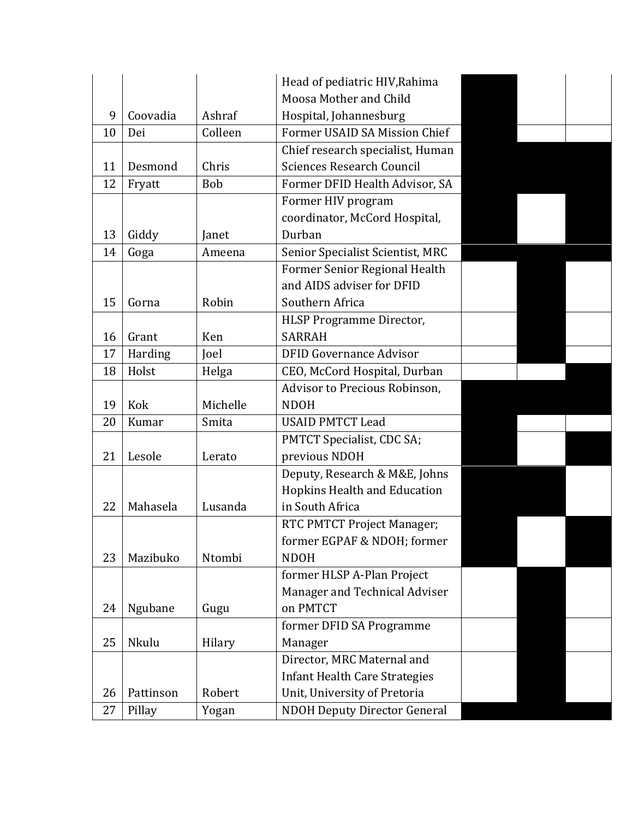|    |           |          | Head of pediatric HIV, Rahima        |  |  |
|----|-----------|----------|--------------------------------------|--|--|
|    |           |          | Moosa Mother and Child               |  |  |
| 9  | Coovadia  | Ashraf   | Hospital, Johannesburg               |  |  |
| 10 | Dei       | Colleen  | Former USAID SA Mission Chief        |  |  |
|    |           |          | Chief research specialist, Human     |  |  |
| 11 | Desmond   | Chris    | <b>Sciences Research Council</b>     |  |  |
| 12 | Fryatt    | Bob      | Former DFID Health Advisor, SA       |  |  |
|    |           |          | Former HIV program                   |  |  |
|    |           |          | coordinator, McCord Hospital,        |  |  |
| 13 | Giddy     | Janet    | Durban                               |  |  |
| 14 | Goga      | Ameena   | Senior Specialist Scientist, MRC     |  |  |
|    |           |          | Former Senior Regional Health        |  |  |
|    |           |          | and AIDS adviser for DFID            |  |  |
| 15 | Gorna     | Robin    | Southern Africa                      |  |  |
|    |           |          | HLSP Programme Director,             |  |  |
| 16 | Grant     | Ken      | <b>SARRAH</b>                        |  |  |
| 17 | Harding   | Joel     | <b>DFID Governance Advisor</b>       |  |  |
| 18 | Holst     | Helga    | CEO, McCord Hospital, Durban         |  |  |
|    |           |          | Advisor to Precious Robinson,        |  |  |
| 19 | Kok       | Michelle | <b>NDOH</b>                          |  |  |
| 20 | Kumar     | Smita    | <b>USAID PMTCT Lead</b>              |  |  |
|    |           |          | PMTCT Specialist, CDC SA;            |  |  |
| 21 | Lesole    | Lerato   | previous NDOH                        |  |  |
|    |           |          | Deputy, Research & M&E, Johns        |  |  |
|    |           |          | Hopkins Health and Education         |  |  |
| 22 | Mahasela  | Lusanda  | in South Africa                      |  |  |
|    |           |          | RTC PMTCT Project Manager;           |  |  |
|    |           |          | former EGPAF & NDOH; former          |  |  |
| 23 | Mazibuko  | Ntombi   | <b>NDOH</b>                          |  |  |
|    |           |          | former HLSP A-Plan Project           |  |  |
|    |           |          | Manager and Technical Adviser        |  |  |
| 24 | Ngubane   | Gugu     | on PMTCT                             |  |  |
|    |           |          | former DFID SA Programme             |  |  |
| 25 | Nkulu     | Hilary   | Manager                              |  |  |
|    |           |          | Director, MRC Maternal and           |  |  |
|    |           |          | <b>Infant Health Care Strategies</b> |  |  |
| 26 | Pattinson | Robert   | Unit, University of Pretoria         |  |  |
| 27 | Pillay    | Yogan    | <b>NDOH Deputy Director General</b>  |  |  |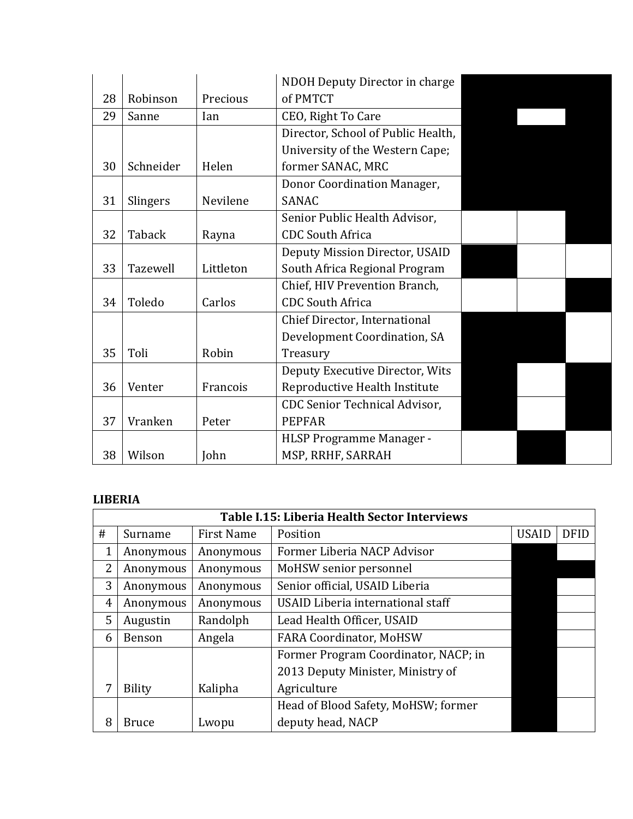|    |           |           | NDOH Deputy Director in charge       |  |  |
|----|-----------|-----------|--------------------------------------|--|--|
| 28 | Robinson  | Precious  | of PMTCT                             |  |  |
| 29 | Sanne     | Ian       | CEO, Right To Care                   |  |  |
|    |           |           | Director, School of Public Health,   |  |  |
|    |           |           | University of the Western Cape;      |  |  |
| 30 | Schneider | Helen     | former SANAC, MRC                    |  |  |
|    |           |           | Donor Coordination Manager,          |  |  |
| 31 | Slingers  | Nevilene  | <b>SANAC</b>                         |  |  |
|    |           |           | Senior Public Health Advisor,        |  |  |
| 32 | Taback    | Rayna     | <b>CDC South Africa</b>              |  |  |
|    |           |           | Deputy Mission Director, USAID       |  |  |
| 33 | Tazewell  | Littleton | South Africa Regional Program        |  |  |
|    |           |           | Chief, HIV Prevention Branch,        |  |  |
| 34 | Toledo    | Carlos    | <b>CDC South Africa</b>              |  |  |
|    |           |           | Chief Director, International        |  |  |
|    |           |           | Development Coordination, SA         |  |  |
| 35 | Toli      | Robin     | Treasury                             |  |  |
|    |           |           | Deputy Executive Director, Wits      |  |  |
| 36 | Venter    | Francois  | Reproductive Health Institute        |  |  |
|    |           |           | <b>CDC Senior Technical Advisor,</b> |  |  |
| 37 | Vranken   | Peter     | <b>PEPFAR</b>                        |  |  |
|    |           |           | HLSP Programme Manager -             |  |  |
| 38 | Wilson    | John      | MSP, RRHF, SARRAH                    |  |  |

# **LIBERIA**

|                | <b>Table I.15: Liberia Health Sector Interviews</b> |                   |                                      |              |             |
|----------------|-----------------------------------------------------|-------------------|--------------------------------------|--------------|-------------|
| #              | Surname                                             | <b>First Name</b> | Position                             | <b>USAID</b> | <b>DFID</b> |
| 1              | Anonymous                                           | Anonymous         | Former Liberia NACP Advisor          |              |             |
| $\overline{2}$ | Anonymous                                           | Anonymous         | MoHSW senior personnel               |              |             |
| 3              | Anonymous                                           | Anonymous         | Senior official, USAID Liberia       |              |             |
| 4              | Anonymous                                           | Anonymous         | USAID Liberia international staff    |              |             |
| 5              | Augustin                                            | Randolph          | Lead Health Officer, USAID           |              |             |
| 6              | Benson                                              | Angela            | <b>FARA Coordinator, MoHSW</b>       |              |             |
|                |                                                     |                   | Former Program Coordinator, NACP; in |              |             |
|                |                                                     |                   | 2013 Deputy Minister, Ministry of    |              |             |
| 7              | <b>Bility</b>                                       | Kalipha           | Agriculture                          |              |             |
|                |                                                     |                   | Head of Blood Safety, MoHSW; former  |              |             |
| 8              | <b>Bruce</b>                                        | Lwopu             | deputy head, NACP                    |              |             |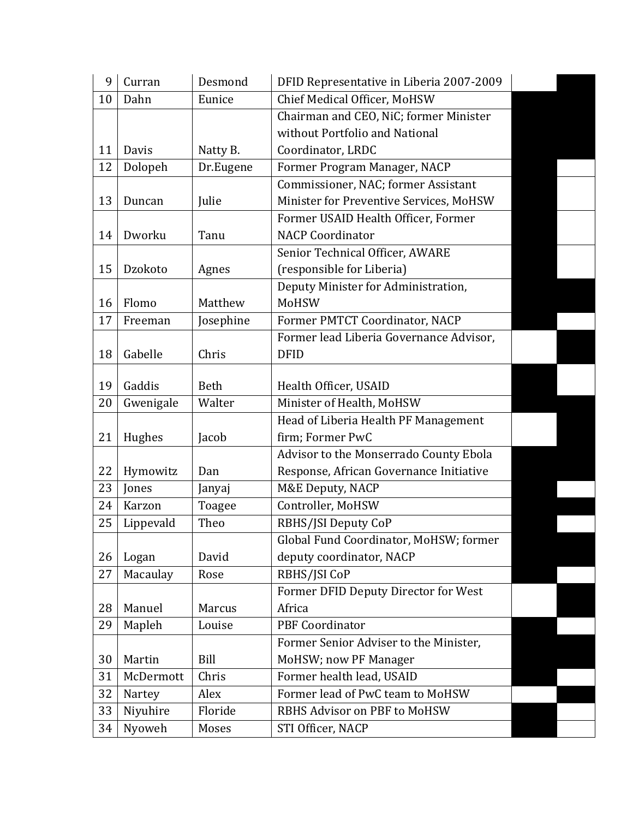| 9  | Curran    | Desmond   | DFID Representative in Liberia 2007-2009 |  |
|----|-----------|-----------|------------------------------------------|--|
| 10 | Dahn      | Eunice    | Chief Medical Officer, MoHSW             |  |
|    |           |           | Chairman and CEO, NiC; former Minister   |  |
|    |           |           | without Portfolio and National           |  |
| 11 | Davis     | Natty B.  | Coordinator, LRDC                        |  |
| 12 | Dolopeh   | Dr.Eugene | Former Program Manager, NACP             |  |
|    |           |           | Commissioner, NAC; former Assistant      |  |
| 13 | Duncan    | Julie     | Minister for Preventive Services, MoHSW  |  |
|    |           |           | Former USAID Health Officer, Former      |  |
| 14 | Dworku    | Tanu      | <b>NACP Coordinator</b>                  |  |
|    |           |           | Senior Technical Officer, AWARE          |  |
| 15 | Dzokoto   | Agnes     | (responsible for Liberia)                |  |
|    |           |           | Deputy Minister for Administration,      |  |
| 16 | Flomo     | Matthew   | MoHSW                                    |  |
| 17 | Freeman   | Josephine | Former PMTCT Coordinator, NACP           |  |
|    |           |           | Former lead Liberia Governance Advisor,  |  |
| 18 | Gabelle   | Chris     | <b>DFID</b>                              |  |
|    |           |           |                                          |  |
| 19 | Gaddis    | Beth      | Health Officer, USAID                    |  |
| 20 | Gwenigale | Walter    | Minister of Health, MoHSW                |  |
|    |           |           | Head of Liberia Health PF Management     |  |
| 21 | Hughes    | Jacob     | firm; Former PwC                         |  |
|    |           |           | Advisor to the Monserrado County Ebola   |  |
| 22 | Hymowitz  | Dan       | Response, African Governance Initiative  |  |
| 23 | Jones     | Janyaj    | M&E Deputy, NACP                         |  |
| 24 | Karzon    | Toagee    | Controller, MoHSW                        |  |
| 25 | Lippevald | Theo      | RBHS/JSI Deputy CoP                      |  |
|    |           |           | Global Fund Coordinator, MoHSW; former   |  |
| 26 | Logan     | David     | deputy coordinator, NACP                 |  |
| 27 | Macaulay  | Rose      | RBHS/JSI CoP                             |  |
|    |           |           | Former DFID Deputy Director for West     |  |
| 28 | Manuel    | Marcus    | Africa                                   |  |
| 29 | Mapleh    | Louise    | <b>PBF Coordinator</b>                   |  |
|    |           |           | Former Senior Adviser to the Minister,   |  |
| 30 | Martin    | Bill      | MoHSW; now PF Manager                    |  |
| 31 | McDermott | Chris     | Former health lead, USAID                |  |
| 32 | Nartey    | Alex      | Former lead of PwC team to MoHSW         |  |
| 33 | Niyuhire  | Floride   | RBHS Advisor on PBF to MoHSW             |  |
| 34 | Nyoweh    | Moses     | STI Officer, NACP                        |  |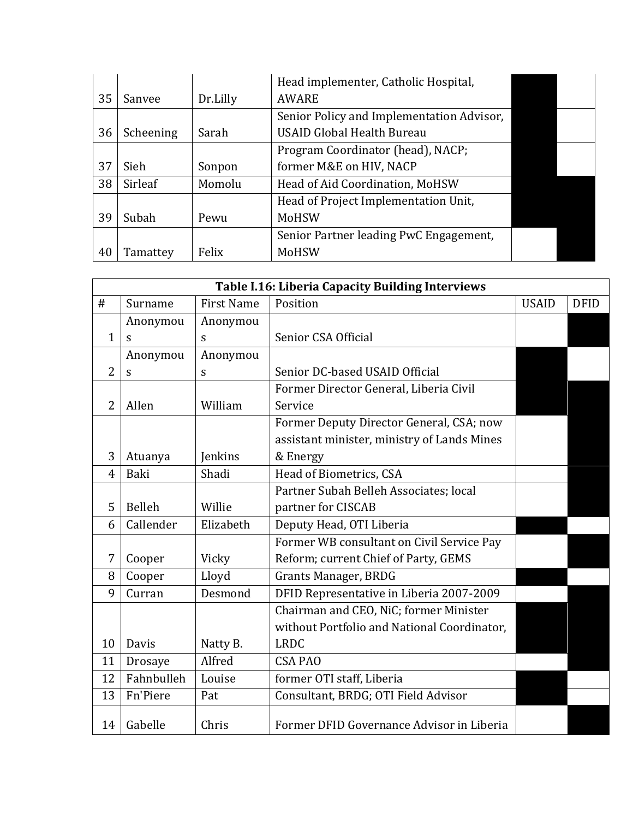|    |           |          | Head implementer, Catholic Hospital,      |  |
|----|-----------|----------|-------------------------------------------|--|
| 35 | Sanvee    | Dr.Lilly | <b>AWARE</b>                              |  |
|    |           |          | Senior Policy and Implementation Advisor, |  |
| 36 | Scheening | Sarah    | <b>USAID Global Health Bureau</b>         |  |
|    |           |          | Program Coordinator (head), NACP;         |  |
| 37 | Sieh      | Sonpon   | former M&E on HIV, NACP                   |  |
| 38 | Sirleaf   | Momolu   | Head of Aid Coordination, MoHSW           |  |
|    |           |          | Head of Project Implementation Unit,      |  |
| 39 | Subah     | Pewu     | MoHSW                                     |  |
|    |           |          | Senior Partner leading PwC Engagement,    |  |
| 40 | Tamattey  | Felix    | MoHSW                                     |  |

|                | Table I.16: Liberia Capacity Building Interviews |                   |                                             |              |             |  |
|----------------|--------------------------------------------------|-------------------|---------------------------------------------|--------------|-------------|--|
| #              | Surname                                          | <b>First Name</b> | Position                                    | <b>USAID</b> | <b>DFID</b> |  |
|                | Anonymou                                         | Anonymou          |                                             |              |             |  |
| $\mathbf{1}$   | S                                                | S                 | Senior CSA Official                         |              |             |  |
|                | Anonymou                                         | Anonymou          |                                             |              |             |  |
| $\overline{2}$ | S                                                | S                 | Senior DC-based USAID Official              |              |             |  |
|                |                                                  |                   | Former Director General, Liberia Civil      |              |             |  |
| $\overline{2}$ | Allen                                            | William           | Service                                     |              |             |  |
|                |                                                  |                   | Former Deputy Director General, CSA; now    |              |             |  |
|                |                                                  |                   | assistant minister, ministry of Lands Mines |              |             |  |
| 3              | Atuanya                                          | Jenkins           | & Energy                                    |              |             |  |
| $\overline{4}$ | Baki                                             | Shadi             | Head of Biometrics, CSA                     |              |             |  |
|                |                                                  |                   | Partner Subah Belleh Associates; local      |              |             |  |
| 5              | Belleh                                           | Willie            | partner for CISCAB                          |              |             |  |
| 6              | Callender                                        | Elizabeth         | Deputy Head, OTI Liberia                    |              |             |  |
|                |                                                  |                   | Former WB consultant on Civil Service Pay   |              |             |  |
| 7              | Cooper                                           | Vicky             | Reform; current Chief of Party, GEMS        |              |             |  |
| 8              | Cooper                                           | Lloyd             | <b>Grants Manager, BRDG</b>                 |              |             |  |
| 9              | Curran                                           | Desmond           | DFID Representative in Liberia 2007-2009    |              |             |  |
|                |                                                  |                   | Chairman and CEO, NiC; former Minister      |              |             |  |
|                |                                                  |                   | without Portfolio and National Coordinator, |              |             |  |
| 10             | Davis                                            | Natty B.          | <b>LRDC</b>                                 |              |             |  |
| 11             | Drosaye                                          | Alfred            | <b>CSA PAO</b>                              |              |             |  |
| 12             | Fahnbulleh                                       | Louise            | former OTI staff, Liberia                   |              |             |  |
| 13             | Fn'Piere                                         | Pat               | Consultant, BRDG; OTI Field Advisor         |              |             |  |
| 14             | Gabelle                                          | Chris             | Former DFID Governance Advisor in Liberia   |              |             |  |